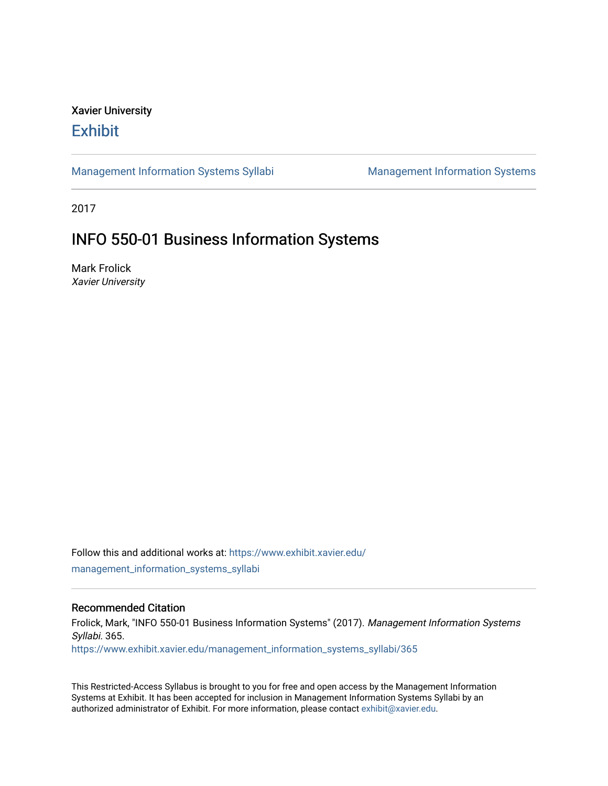# Xavier University **Exhibit**

[Management Information Systems Syllabi](https://www.exhibit.xavier.edu/management_information_systems_syllabi) Management Information Systems

2017

# INFO 550-01 Business Information Systems

Mark Frolick Xavier University

Follow this and additional works at: [https://www.exhibit.xavier.edu/](https://www.exhibit.xavier.edu/management_information_systems_syllabi?utm_source=www.exhibit.xavier.edu%2Fmanagement_information_systems_syllabi%2F365&utm_medium=PDF&utm_campaign=PDFCoverPages) [management\\_information\\_systems\\_syllabi](https://www.exhibit.xavier.edu/management_information_systems_syllabi?utm_source=www.exhibit.xavier.edu%2Fmanagement_information_systems_syllabi%2F365&utm_medium=PDF&utm_campaign=PDFCoverPages) 

#### Recommended Citation

Frolick, Mark, "INFO 550-01 Business Information Systems" (2017). Management Information Systems Syllabi. 365. [https://www.exhibit.xavier.edu/management\\_information\\_systems\\_syllabi/365](https://www.exhibit.xavier.edu/management_information_systems_syllabi/365?utm_source=www.exhibit.xavier.edu%2Fmanagement_information_systems_syllabi%2F365&utm_medium=PDF&utm_campaign=PDFCoverPages) 

This Restricted-Access Syllabus is brought to you for free and open access by the Management Information Systems at Exhibit. It has been accepted for inclusion in Management Information Systems Syllabi by an authorized administrator of Exhibit. For more information, please contact [exhibit@xavier.edu](mailto:exhibit@xavier.edu).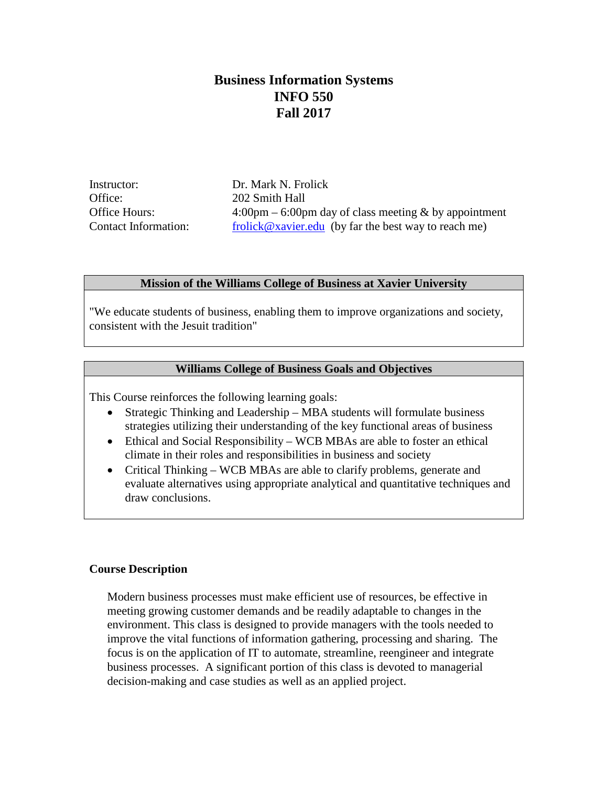# **Business Information Systems INFO 550 Fall 2017**

Instructor: Dr. Mark N. Frolick Office: 202 Smith Hall

Office Hours: 4:00pm – 6:00pm day of class meeting & by appointment Contact Information: [frolick@xavier.edu](mailto:frolick@xavier.edu) (by far the best way to reach me)

# **Mission of the Williams College of Business at Xavier University**

"We educate students of business, enabling them to improve organizations and society, consistent with the Jesuit tradition"

# **Williams College of Business Goals and Objectives**

This Course reinforces the following learning goals:

- Strategic Thinking and Leadership MBA students will formulate business strategies utilizing their understanding of the key functional areas of business
- Ethical and Social Responsibility WCB MBAs are able to foster an ethical climate in their roles and responsibilities in business and society
- Critical Thinking WCB MBAs are able to clarify problems, generate and evaluate alternatives using appropriate analytical and quantitative techniques and draw conclusions.

#### **Course Description**

Modern business processes must make efficient use of resources, be effective in meeting growing customer demands and be readily adaptable to changes in the environment. This class is designed to provide managers with the tools needed to improve the vital functions of information gathering, processing and sharing. The focus is on the application of IT to automate, streamline, reengineer and integrate business processes. A significant portion of this class is devoted to managerial decision-making and case studies as well as an applied project.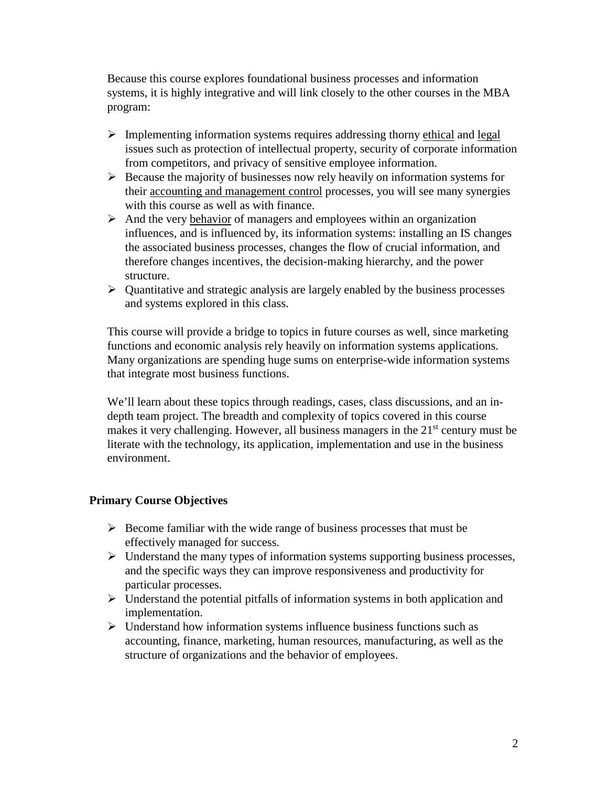Because this course explores foundational business processes and information systems, it is highly integrative and will link closely to the other courses in the MBA program:

- $\triangleright$  Implementing information systems requires addressing thorny ethical and legal issues such as protection of intellectual property, security of corporate information from competitors, and privacy of sensitive employee information.
- $\triangleright$  Because the majority of businesses now rely heavily on information systems for their accounting and management control processes, you will see many synergies with this course as well as with finance.
- $\triangleright$  And the very behavior of managers and employees within an organization influences, and is influenced by, its information systems: installing an IS changes the associated business processes, changes the flow of crucial information, and therefore changes incentives, the decision-making hierarchy, and the power structure.
- $\triangleright$  Quantitative and strategic analysis are largely enabled by the business processes and systems explored in this class.

This course will provide a bridge to topics in future courses as well, since marketing functions and economic analysis rely heavily on information systems applications. Many organizations are spending huge sums on enterprise-wide information systems that integrate most business functions.

We'll learn about these topics through readings, cases, class discussions, and an indepth team project. The breadth and complexity of topics covered in this course makes it very challenging. However, all business managers in the 21<sup>st</sup> century must be literate with the technology, its application, implementation and use in the business environment.

# **Primary Course Objectives**

- $\triangleright$  Become familiar with the wide range of business processes that must be effectively managed for success.
- $\triangleright$  Understand the many types of information systems supporting business processes, and the specific ways they can improve responsiveness and productivity for particular processes.
- $\triangleright$  Understand the potential pitfalls of information systems in both application and implementation.
- $\triangleright$  Understand how information systems influence business functions such as accounting, finance, marketing, human resources, manufacturing, as well as the structure of organizations and the behavior of employees.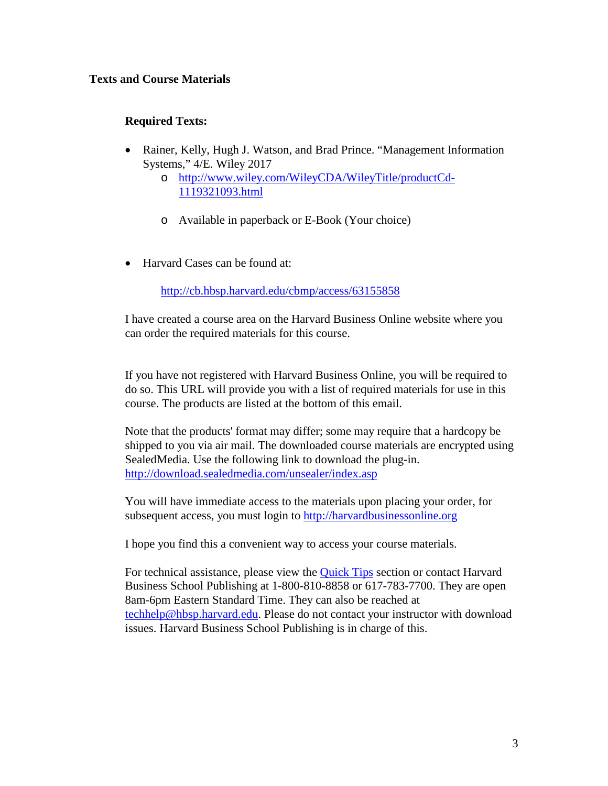# **Texts and Course Materials**

# **Required Texts:**

- Rainer, Kelly, Hugh J. Watson, and Brad Prince. "Management Information Systems," 4/E. Wiley 2017
	- o [http://www.wiley.com/WileyCDA/WileyTitle/productCd-](http://www.wiley.com/WileyCDA/WileyTitle/productCd-1119321093.html)[1119321093.html](http://www.wiley.com/WileyCDA/WileyTitle/productCd-1119321093.html)
	- o Available in paperback or E-Book (Your choice)
- Harvard Cases can be found at:

<http://cb.hbsp.harvard.edu/cbmp/access/63155858>

I have created a course area on the Harvard Business Online website where you can order the required materials for this course.

If you have not registered with Harvard Business Online, you will be required to do so. This URL will provide you with a list of required materials for use in this course. The products are listed at the bottom of this email.

Note that the products' format may differ; some may require that a hardcopy be shipped to you via air mail. The downloaded course materials are encrypted using SealedMedia. Use the following link to download the plug-in. <http://download.sealedmedia.com/unsealer/index.asp>

You will have immediate access to the materials upon placing your order, for subsequent access, you must login to [http://harvardbusinessonline.org](http://harvardbusinessonline.org/)

I hope you find this a convenient way to access your course materials.

For technical assistance, please view the [Quick Tips](http://extranet.hbsp.harvard.edu/pdfrecovery/CPTips.htm) section or contact Harvard Business School Publishing at 1-800-810-8858 or 617-783-7700. They are open 8am-6pm Eastern Standard Time. They can also be reached at [techhelp@hbsp.harvard.edu.](mailto:techhelp@hbsp.harvard.edu) Please do not contact your instructor with download issues. Harvard Business School Publishing is in charge of this.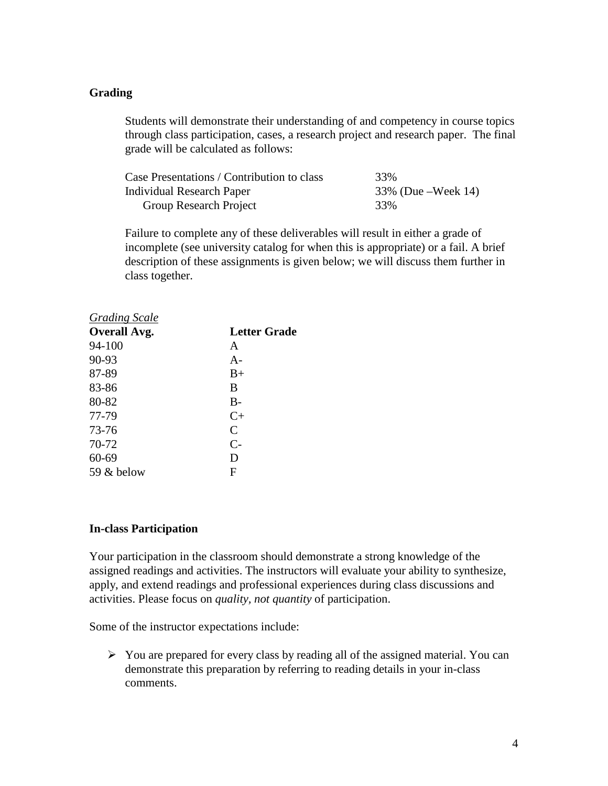# **Grading**

Students will demonstrate their understanding of and competency in course topics through class participation, cases, a research project and research paper. The final grade will be calculated as follows:

| Case Presentations / Contribution to class | 33%                   |
|--------------------------------------------|-----------------------|
| Individual Research Paper                  | $33\%$ (Due –Week 14) |
| Group Research Project                     | 33%                   |

Failure to complete any of these deliverables will result in either a grade of incomplete (see university catalog for when this is appropriate) or a fail. A brief description of these assignments is given below; we will discuss them further in class together.

| <b>Letter Grade</b> |
|---------------------|
|                     |
| A                   |
| $A-$                |
| $B+$                |
| B                   |
| $B -$               |
| $C+$                |
| C                   |
| $C-$                |
| D                   |
| F                   |
|                     |

#### **In-class Participation**

Your participation in the classroom should demonstrate a strong knowledge of the assigned readings and activities. The instructors will evaluate your ability to synthesize, apply, and extend readings and professional experiences during class discussions and activities. Please focus on *quality, not quantity* of participation.

Some of the instructor expectations include:

 $\triangleright$  You are prepared for every class by reading all of the assigned material. You can demonstrate this preparation by referring to reading details in your in-class comments.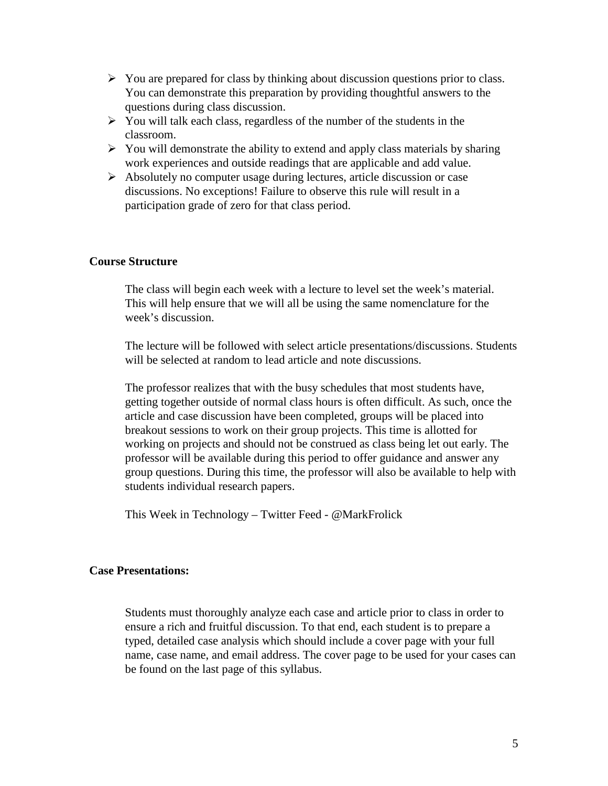- $\triangleright$  You are prepared for class by thinking about discussion questions prior to class. You can demonstrate this preparation by providing thoughtful answers to the questions during class discussion.
- $\triangleright$  You will talk each class, regardless of the number of the students in the classroom.
- $\triangleright$  You will demonstrate the ability to extend and apply class materials by sharing work experiences and outside readings that are applicable and add value.
- $\triangleright$  Absolutely no computer usage during lectures, article discussion or case discussions. No exceptions! Failure to observe this rule will result in a participation grade of zero for that class period.

# **Course Structure**

The class will begin each week with a lecture to level set the week's material. This will help ensure that we will all be using the same nomenclature for the week's discussion.

The lecture will be followed with select article presentations/discussions. Students will be selected at random to lead article and note discussions.

The professor realizes that with the busy schedules that most students have, getting together outside of normal class hours is often difficult. As such, once the article and case discussion have been completed, groups will be placed into breakout sessions to work on their group projects. This time is allotted for working on projects and should not be construed as class being let out early. The professor will be available during this period to offer guidance and answer any group questions. During this time, the professor will also be available to help with students individual research papers.

This Week in Technology – Twitter Feed - @MarkFrolick

## **Case Presentations:**

Students must thoroughly analyze each case and article prior to class in order to ensure a rich and fruitful discussion. To that end, each student is to prepare a typed, detailed case analysis which should include a cover page with your full name, case name, and email address. The cover page to be used for your cases can be found on the last page of this syllabus.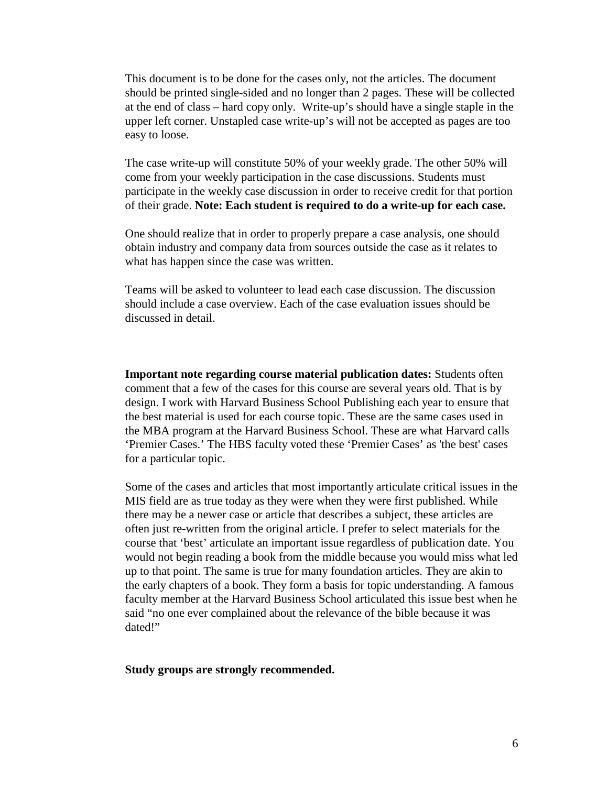This document is to be done for the cases only, not the articles. The document should be printed single-sided and no longer than 2 pages. These will be collected at the end of class – hard copy only. Write-up's should have a single staple in the upper left corner. Unstapled case write-up's will not be accepted as pages are too easy to loose.

The case write-up will constitute 50% of your weekly grade. The other 50% will come from your weekly participation in the case discussions. Students must participate in the weekly case discussion in order to receive credit for that portion of their grade. **Note: Each student is required to do a write-up for each case.**

One should realize that in order to properly prepare a case analysis, one should obtain industry and company data from sources outside the case as it relates to what has happen since the case was written.

Teams will be asked to volunteer to lead each case discussion. The discussion should include a case overview. Each of the case evaluation issues should be discussed in detail.

**Important note regarding course material publication dates:** Students often comment that a few of the cases for this course are several years old. That is by design. I work with Harvard Business School Publishing each year to ensure that the best material is used for each course topic. These are the same cases used in the MBA program at the Harvard Business School. These are what Harvard calls 'Premier Cases.' The HBS faculty voted these 'Premier Cases' as 'the best' cases for a particular topic.

Some of the cases and articles that most importantly articulate critical issues in the MIS field are as true today as they were when they were first published. While there may be a newer case or article that describes a subject, these articles are often just re-written from the original article. I prefer to select materials for the course that 'best' articulate an important issue regardless of publication date. You would not begin reading a book from the middle because you would miss what led up to that point. The same is true for many foundation articles. They are akin to the early chapters of a book. They form a basis for topic understanding. A famous faculty member at the Harvard Business School articulated this issue best when he said "no one ever complained about the relevance of the bible because it was dated!"

**Study groups are strongly recommended.**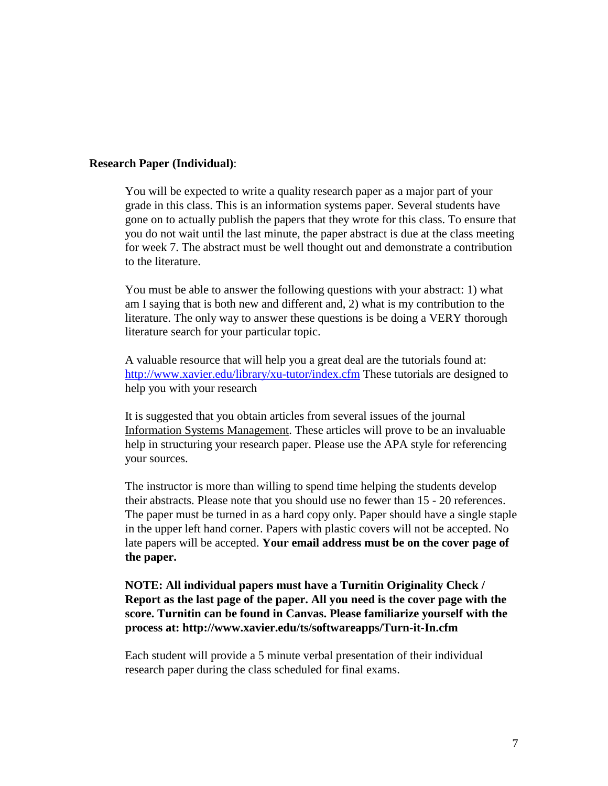#### **Research Paper (Individual)**:

You will be expected to write a quality research paper as a major part of your grade in this class. This is an information systems paper. Several students have gone on to actually publish the papers that they wrote for this class. To ensure that you do not wait until the last minute, the paper abstract is due at the class meeting for week 7. The abstract must be well thought out and demonstrate a contribution to the literature.

You must be able to answer the following questions with your abstract: 1) what am I saying that is both new and different and, 2) what is my contribution to the literature. The only way to answer these questions is be doing a VERY thorough literature search for your particular topic.

A valuable resource that will help you a great deal are the tutorials found at: <http://www.xavier.edu/library/xu-tutor/index.cfm> These tutorials are designed to help you with your research

It is suggested that you obtain articles from several issues of the journal Information Systems Management. These articles will prove to be an invaluable help in structuring your research paper. Please use the APA style for referencing your sources.

The instructor is more than willing to spend time helping the students develop their abstracts. Please note that you should use no fewer than 15 - 20 references. The paper must be turned in as a hard copy only. Paper should have a single staple in the upper left hand corner. Papers with plastic covers will not be accepted. No late papers will be accepted. **Your email address must be on the cover page of the paper.**

# **NOTE: All individual papers must have a Turnitin Originality Check / Report as the last page of the paper. All you need is the cover page with the score. Turnitin can be found in Canvas. Please familiarize yourself with the process at: http://www.xavier.edu/ts/softwareapps/Turn-it-In.cfm**

Each student will provide a 5 minute verbal presentation of their individual research paper during the class scheduled for final exams.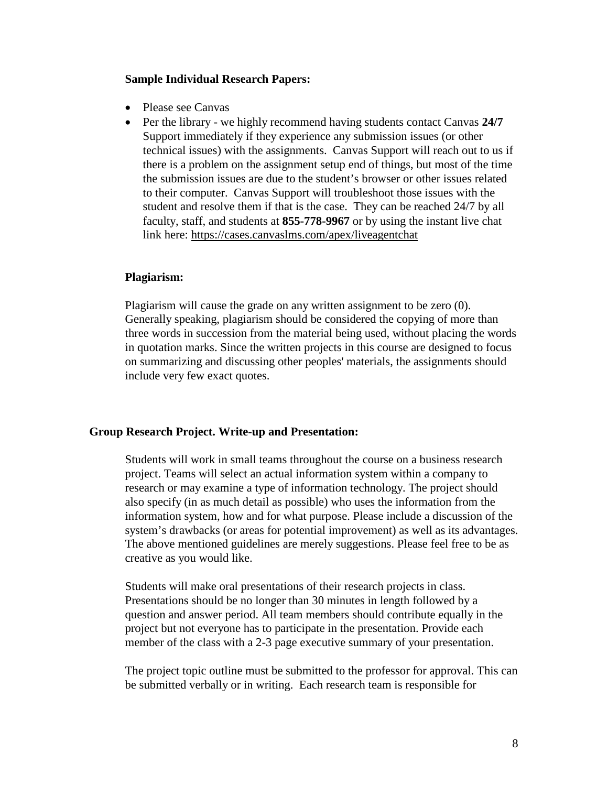#### **Sample Individual Research Papers:**

- Please see Canvas
- Per the library we highly recommend having students contact Canvas **24/7** Support immediately if they experience any submission issues (or other technical issues) with the assignments. Canvas Support will reach out to us if there is a problem on the assignment setup end of things, but most of the time the submission issues are due to the student's browser or other issues related to their computer. Canvas Support will troubleshoot those issues with the student and resolve them if that is the case. They can be reached 24/7 by all faculty, staff, and students at **855-778-9967** or by using the instant live chat link here:<https://cases.canvaslms.com/apex/liveagentchat>

#### **Plagiarism:**

Plagiarism will cause the grade on any written assignment to be zero (0). Generally speaking, plagiarism should be considered the copying of more than three words in succession from the material being used, without placing the words in quotation marks. Since the written projects in this course are designed to focus on summarizing and discussing other peoples' materials, the assignments should include very few exact quotes.

#### **Group Research Project. Write-up and Presentation:**

Students will work in small teams throughout the course on a business research project. Teams will select an actual information system within a company to research or may examine a type of information technology. The project should also specify (in as much detail as possible) who uses the information from the information system, how and for what purpose. Please include a discussion of the system's drawbacks (or areas for potential improvement) as well as its advantages. The above mentioned guidelines are merely suggestions. Please feel free to be as creative as you would like.

Students will make oral presentations of their research projects in class. Presentations should be no longer than 30 minutes in length followed by a question and answer period. All team members should contribute equally in the project but not everyone has to participate in the presentation. Provide each member of the class with a 2-3 page executive summary of your presentation.

The project topic outline must be submitted to the professor for approval. This can be submitted verbally or in writing. Each research team is responsible for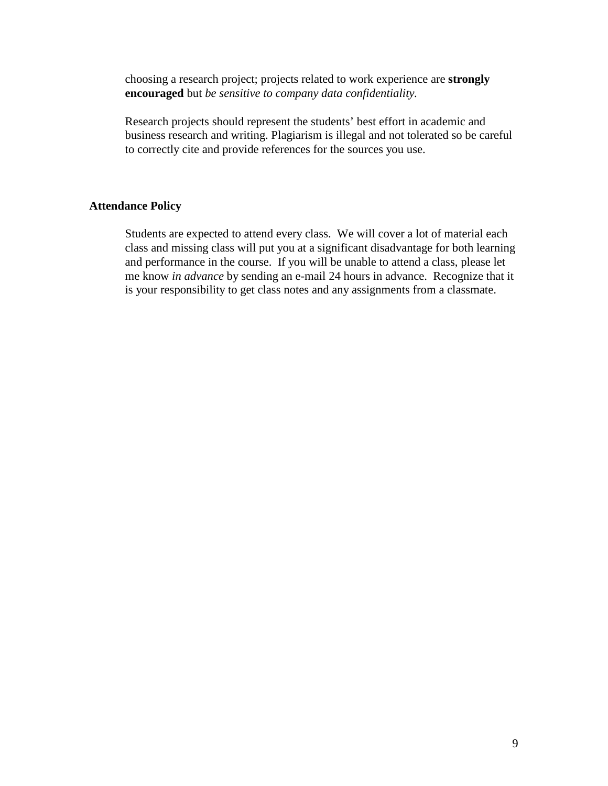choosing a research project; projects related to work experience are **strongly encouraged** but *be sensitive to company data confidentiality.*

Research projects should represent the students' best effort in academic and business research and writing. Plagiarism is illegal and not tolerated so be careful to correctly cite and provide references for the sources you use.

#### **Attendance Policy**

Students are expected to attend every class. We will cover a lot of material each class and missing class will put you at a significant disadvantage for both learning and performance in the course. If you will be unable to attend a class, please let me know *in advance* by sending an e-mail 24 hours in advance. Recognize that it is your responsibility to get class notes and any assignments from a classmate.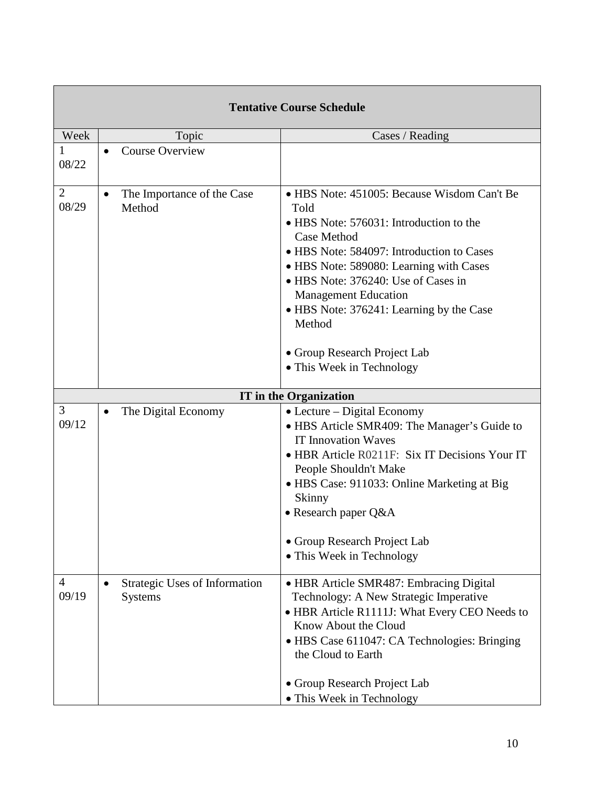| <b>Tentative Course Schedule</b> |                                                 |                                                                                                                                                                                                                                                                                                                                                                                                |  |  |
|----------------------------------|-------------------------------------------------|------------------------------------------------------------------------------------------------------------------------------------------------------------------------------------------------------------------------------------------------------------------------------------------------------------------------------------------------------------------------------------------------|--|--|
| Week                             | Topic                                           | Cases / Reading                                                                                                                                                                                                                                                                                                                                                                                |  |  |
| 08/22                            | <b>Course Overview</b><br>$\bullet$             |                                                                                                                                                                                                                                                                                                                                                                                                |  |  |
| $\overline{2}$<br>08/29          | The Importance of the Case<br>Method            | • HBS Note: 451005: Because Wisdom Can't Be<br>Told<br>• HBS Note: 576031: Introduction to the<br>Case Method<br>• HBS Note: 584097: Introduction to Cases<br>• HBS Note: 589080: Learning with Cases<br>• HBS Note: 376240: Use of Cases in<br><b>Management Education</b><br>• HBS Note: 376241: Learning by the Case<br>Method<br>• Group Research Project Lab<br>• This Week in Technology |  |  |
|                                  |                                                 | <b>IT</b> in the Organization                                                                                                                                                                                                                                                                                                                                                                  |  |  |
| 3<br>09/12                       | The Digital Economy                             | $\bullet$ Lecture – Digital Economy<br>· HBS Article SMR409: The Manager's Guide to<br><b>IT Innovation Waves</b><br>• HBR Article R0211F: Six IT Decisions Your IT<br>People Shouldn't Make<br>• HBS Case: 911033: Online Marketing at Big<br>Skinny<br>• Research paper Q&A<br>• Group Research Project Lab<br>• This Week in Technology                                                     |  |  |
| 4<br>09/19                       | Strategic Uses of Information<br><b>Systems</b> | · HBR Article SMR487: Embracing Digital<br>Technology: A New Strategic Imperative<br>• HBR Article R1111J: What Every CEO Needs to<br>Know About the Cloud<br>• HBS Case 611047: CA Technologies: Bringing<br>the Cloud to Earth<br>• Group Research Project Lab<br>• This Week in Technology                                                                                                  |  |  |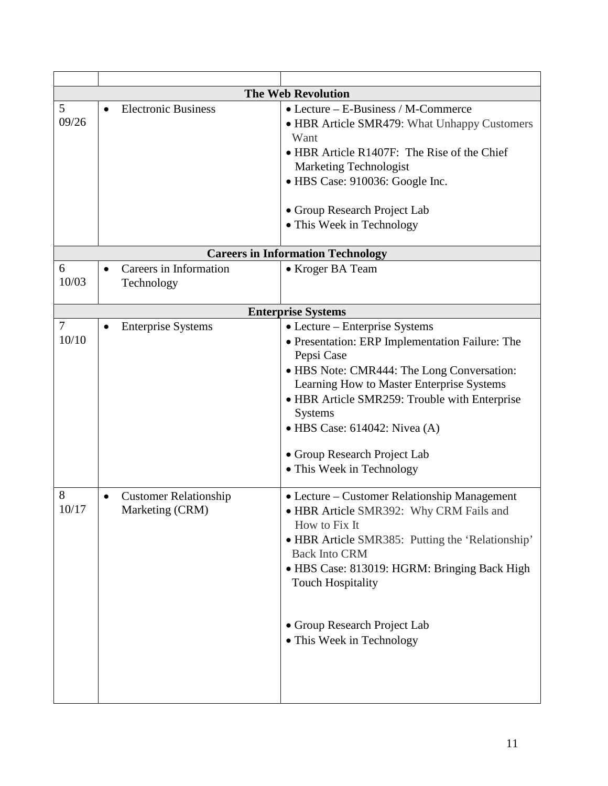|                         | <b>The Web Revolution</b>                       |                                                                                                                                                                                                                                                                                                                                                                     |  |  |  |  |
|-------------------------|-------------------------------------------------|---------------------------------------------------------------------------------------------------------------------------------------------------------------------------------------------------------------------------------------------------------------------------------------------------------------------------------------------------------------------|--|--|--|--|
| 5<br>09/26              | <b>Electronic Business</b>                      | $\bullet$ Lecture – E-Business / M-Commerce<br>• HBR Article SMR479: What Unhappy Customers<br>Want<br>• HBR Article R1407F: The Rise of the Chief<br><b>Marketing Technologist</b><br>• HBS Case: 910036: Google Inc.<br>• Group Research Project Lab<br>• This Week in Technology                                                                                 |  |  |  |  |
|                         |                                                 | <b>Careers in Information Technology</b>                                                                                                                                                                                                                                                                                                                            |  |  |  |  |
| 6<br>10/03              | Careers in Information<br>Technology            | • Kroger BA Team                                                                                                                                                                                                                                                                                                                                                    |  |  |  |  |
|                         |                                                 | <b>Enterprise Systems</b>                                                                                                                                                                                                                                                                                                                                           |  |  |  |  |
| $\overline{7}$<br>10/10 | <b>Enterprise Systems</b>                       | • Lecture – Enterprise Systems<br>• Presentation: ERP Implementation Failure: The<br>Pepsi Case<br>• HBS Note: CMR444: The Long Conversation:<br>Learning How to Master Enterprise Systems<br>• HBR Article SMR259: Trouble with Enterprise<br><b>Systems</b><br>$\bullet$ HBS Case: 614042: Nivea (A)<br>• Group Research Project Lab<br>• This Week in Technology |  |  |  |  |
| 8<br>10/17              | <b>Customer Relationship</b><br>Marketing (CRM) | • Lecture – Customer Relationship Management<br>• HBR Article SMR392: Why CRM Fails and<br>How to Fix It<br>• HBR Article SMR385: Putting the 'Relationship'<br><b>Back Into CRM</b><br>• HBS Case: 813019: HGRM: Bringing Back High<br><b>Touch Hospitality</b><br>• Group Research Project Lab<br>• This Week in Technology                                       |  |  |  |  |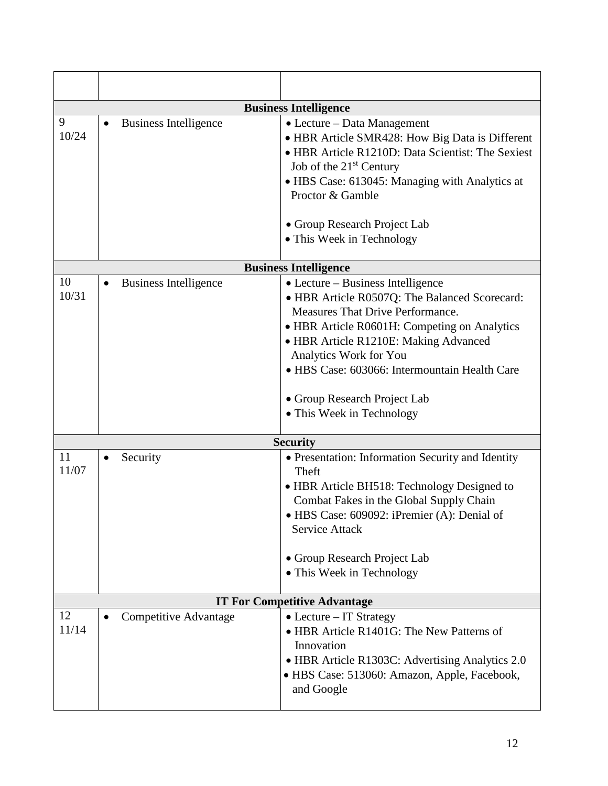| <b>Business Intelligence</b> |                              |                                                                                                                                                                                                                                                                                                                                                                |  |  |  |
|------------------------------|------------------------------|----------------------------------------------------------------------------------------------------------------------------------------------------------------------------------------------------------------------------------------------------------------------------------------------------------------------------------------------------------------|--|--|--|
| 9<br>10/24                   | <b>Business Intelligence</b> | • Lecture – Data Management<br>• HBR Article SMR428: How Big Data is Different<br>• HBR Article R1210D: Data Scientist: The Sexiest<br>Job of the 21 <sup>st</sup> Century<br>• HBS Case: 613045: Managing with Analytics at<br>Proctor & Gamble<br>• Group Research Project Lab<br>• This Week in Technology                                                  |  |  |  |
|                              |                              |                                                                                                                                                                                                                                                                                                                                                                |  |  |  |
|                              |                              | <b>Business Intelligence</b>                                                                                                                                                                                                                                                                                                                                   |  |  |  |
| 10<br>10/31                  | <b>Business Intelligence</b> | • Lecture – Business Intelligence<br>• HBR Article R0507Q: The Balanced Scorecard:<br><b>Measures That Drive Performance.</b><br>• HBR Article R0601H: Competing on Analytics<br>• HBR Article R1210E: Making Advanced<br>Analytics Work for You<br>• HBS Case: 603066: Intermountain Health Care<br>• Group Research Project Lab<br>• This Week in Technology |  |  |  |
|                              |                              | <b>Security</b>                                                                                                                                                                                                                                                                                                                                                |  |  |  |
| 11<br>11/07                  | Security                     | • Presentation: Information Security and Identity<br>Theft<br>• HBR Article BH518: Technology Designed to<br>Combat Fakes in the Global Supply Chain<br>• HBS Case: 609092: iPremier (A): Denial of<br>Service Attack<br>• Group Research Project Lab<br>• This Week in Technology                                                                             |  |  |  |
|                              |                              | <b>IT For Competitive Advantage</b>                                                                                                                                                                                                                                                                                                                            |  |  |  |
| 12<br>11/14                  | Competitive Advantage        | $\bullet$ Lecture – IT Strategy<br>• HBR Article R1401G: The New Patterns of<br>Innovation<br>• HBR Article R1303C: Advertising Analytics 2.0<br>• HBS Case: 513060: Amazon, Apple, Facebook,<br>and Google                                                                                                                                                    |  |  |  |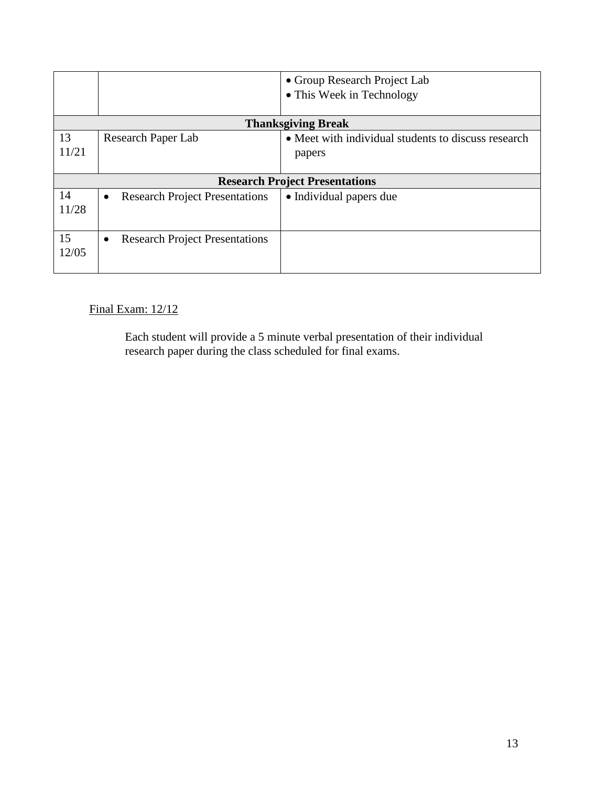|                           |                                                    | • Group Research Project Lab                                  |  |  |  |  |
|---------------------------|----------------------------------------------------|---------------------------------------------------------------|--|--|--|--|
|                           |                                                    | • This Week in Technology                                     |  |  |  |  |
| <b>Thanksgiving Break</b> |                                                    |                                                               |  |  |  |  |
| 13<br>11/21               | <b>Research Paper Lab</b>                          | • Meet with individual students to discuss research<br>papers |  |  |  |  |
|                           |                                                    | <b>Research Project Presentations</b>                         |  |  |  |  |
| 14<br>11/28               | <b>Research Project Presentations</b><br>$\bullet$ | • Individual papers due                                       |  |  |  |  |
| 15<br>12/05               | <b>Research Project Presentations</b>              |                                                               |  |  |  |  |

Final Exam: 12/12

Each student will provide a 5 minute verbal presentation of their individual research paper during the class scheduled for final exams.